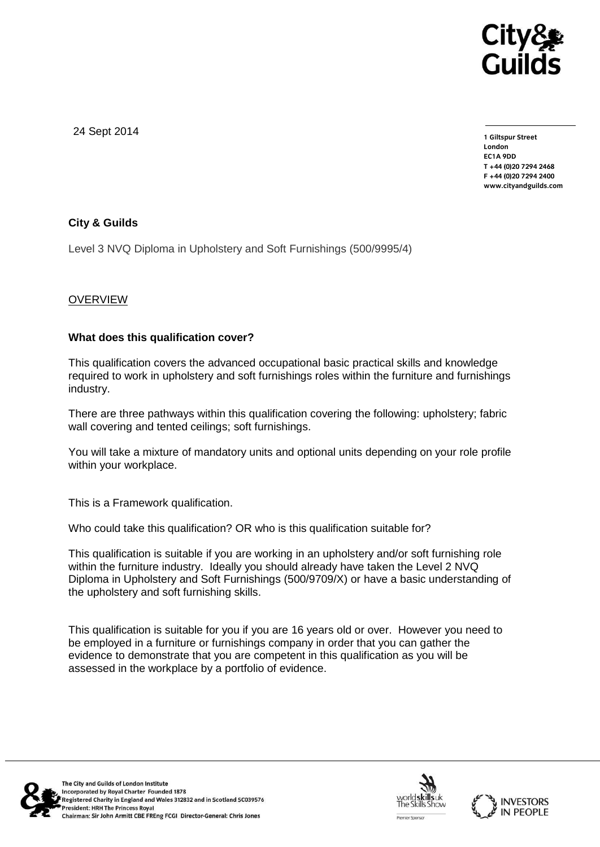

24 Sept 2014

**1 Giltspur Street EC1A 9DD** T +44 (0) 20 7 294 2468 **T +44 (0)20 7294 246[8](http://www.cityandguilds.com/) F +44 (0)20 7294 2400 [www.cityandguilds.com](http://www.cityandguilds.com/)**

# **City & Guilds**

Level 3 NVQ Diploma in Upholstery and Soft Furnishings (500/9995/4)

# **OVERVIEW**

# **What does this qualification cover?**

This qualification covers the advanced occupational basic practical skills and knowledge required to work in upholstery and soft furnishings roles within the furniture and furnishings industry.

There are three pathways within this qualification covering the following: upholstery; fabric wall covering and tented ceilings; soft furnishings.

You will take a mixture of mandatory units and optional units depending on your role profile within your workplace.

This is a Framework qualification.

Who could take this qualification? OR who is this qualification suitable for?

This qualification is suitable if you are working in an upholstery and/or soft furnishing role within the furniture industry. Ideally you should already have taken the Level 2 NVQ Diploma in Upholstery and Soft Furnishings (500/9709/X) or have a basic understanding of the upholstery and soft furnishing skills.

This qualification is suitable for you if you are 16 years old or over. However you need to be employed in a furniture or furnishings company in order that you can gather the evidence to demonstrate that you are competent in this qualification as you will be assessed in the workplace by a portfolio of evidence.